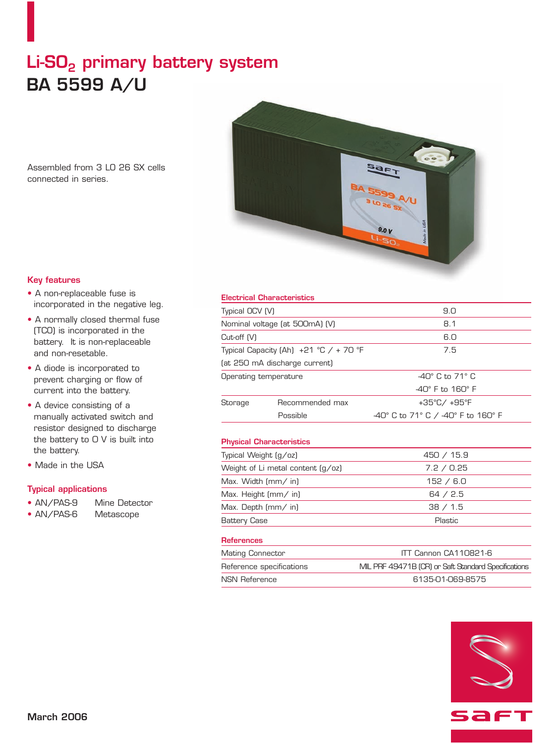# Li-SO<sub>2</sub> primary battery system **BA 5599 A/U**

Assembled from 3 LO 26 SX cells connected in series.



### **Key features**

- A non-replaceable fuse is incorporated in the negative leg.
- A normally closed thermal fuse (TCO) is incorporated in the battery. It is non-replaceable and non-resetable.
- A diode is incorporated to prevent charging or flow of current into the battery.
- A device consisting of a manually activated switch and resistor designed to discharge the battery to 0 V is built into the battery.
- Made in the USA

### **Typical applications**

| $\bullet$ AN/PAS-9 | Mine Detector |
|--------------------|---------------|
| $\bullet$ AN/PAS-6 | Metascope     |

### **Electrical Characteristics**

| Typical OCV (V)                          |                                 | 9.0                                |
|------------------------------------------|---------------------------------|------------------------------------|
| Nominal voltage (at 500mA) (V)           |                                 | 8.1                                |
| Cut-off (V)                              |                                 | 6.0                                |
| Typical Capacity (Ah) $+21$ °C / + 70 °F |                                 | 7.5                                |
|                                          | (at 250 mA discharge current)   |                                    |
| Operating temperature                    |                                 | $-40^\circ$ C to 71 $^\circ$ C     |
|                                          |                                 | $-40^\circ$ F to $160^\circ$ F     |
| Storage                                  | Recommended max                 | +35°C/ +95°F                       |
|                                          | Possible                        | -40° C to 71° C / -40° F to 160° F |
|                                          |                                 |                                    |
|                                          | <b>Physical Characteristics</b> |                                    |
| — <u>INALIA (</u>                        |                                 | $1 - 1$                            |

| Typical Weight (g/oz)             | 450 / 15.9 |
|-----------------------------------|------------|
| Weight of Li metal content (g/oz) | 7.2 / 0.25 |
| Max. Width $\text{mm}/\text{in}$  | 152 / 6.0  |
| Max. Height (mm/ in)              | 64 / 2.5   |
| Max. Depth $\text{mm}/\text{in}$  | 38 / 1.5   |
| <b>Battery Case</b>               | Plastic    |
| <b>References</b>                 |            |

| ITT Cannon CA110821-6                               |
|-----------------------------------------------------|
| MIL PRF 49471B (CR) or Saft Standard Specifications |
| 6135-01-069-8575                                    |
|                                                     |